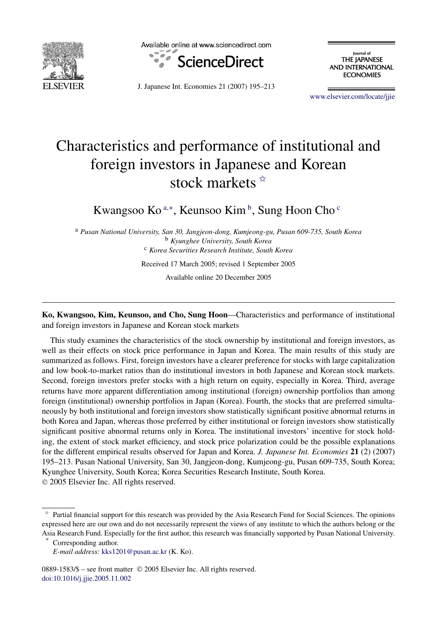

Available online at www.sciencedirect.com



lournal of THE JAPANESE **AND INTERNATIONAL ECONOMIES** 

J. Japanese Int. Economies 21 (2007) 195–213

[www.elsevier.com/locate/jjie](http://www.elsevier.com/locate/jjie)

## Characteristics and performance of institutional and foreign investors in Japanese and Korean stock markets  $*$

Kwangsoo Ko<sup>a,∗</sup>, Keunsoo Kim<sup>b</sup>, Sung Hoon Cho<sup>c</sup>

<sup>a</sup> *Pusan National University, San 30, Jangjeon-dong, Kumjeong-gu, Pusan 609-735, South Korea* <sup>b</sup> *Kyunghee University, South Korea* <sup>c</sup> *Korea Securities Research Institute, South Korea* Received 17 March 2005; revised 1 September 2005

Available online 20 December 2005

**Ko, Kwangsoo, Kim, Keunsoo, and Cho, Sung Hoon**—Characteristics and performance of institutional and foreign investors in Japanese and Korean stock markets

This study examines the characteristics of the stock ownership by institutional and foreign investors, as well as their effects on stock price performance in Japan and Korea. The main results of this study are summarized as follows. First, foreign investors have a clearer preference for stocks with large capitalization and low book-to-market ratios than do institutional investors in both Japanese and Korean stock markets. Second, foreign investors prefer stocks with a high return on equity, especially in Korea. Third, average returns have more apparent differentiation among institutional (foreign) ownership portfolios than among foreign (institutional) ownership portfolios in Japan (Korea). Fourth, the stocks that are preferred simultaneously by both institutional and foreign investors show statistically significant positive abnormal returns in both Korea and Japan, whereas those preferred by either institutional or foreign investors show statistically significant positive abnormal returns only in Korea. The institutional investors' incentive for stock holding, the extent of stock market efficiency, and stock price polarization could be the possible explanations for the different empirical results observed for Japan and Korea. *J. Japanese Int. Economies* **21** (2) (2007) 195–213. Pusan National University, San 30, Jangjeon-dong, Kumjeong-gu, Pusan 609-735, South Korea; Kyunghee University, South Korea; Korea Securities Research Institute, South Korea. © 2005 Elsevier Inc. All rights reserved.

0889-1583/\$ – see front matter © 2005 Elsevier Inc. All rights reserved. [doi:10.1016/j.jjie.2005.11.002](http://dx.doi.org/10.1016/j.jjie.2005.11.002)

<sup>✩</sup> Partial financial support for this research was provided by the Asia Research Fund for Social Sciences. The opinions expressed here are our own and do not necessarily represent the views of any institute to which the authors belong or the Asia Research Fund. Especially for the first author, this research was financially supported by Pusan National University.

Corresponding author.

*E-mail address:* [kks1201@pusan.ac.kr](mailto:kks1201@pusan.ac.kr) (K. Ko).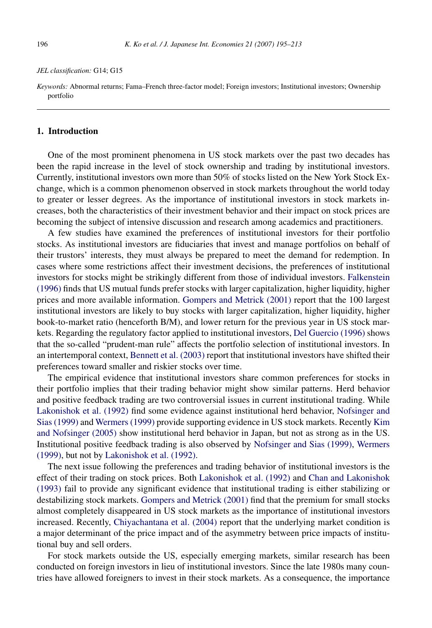## *JEL classification:* G14; G15

*Keywords:* Abnormal returns; Fama–French three-factor model; Foreign investors; Institutional investors; Ownership portfolio

## **1. Introduction**

One of the most prominent phenomena in US stock markets over the past two decades has been the rapid increase in the level of stock ownership and trading by institutional investors. Currently, institutional investors own more than 50% of stocks listed on the New York Stock Exchange, which is a common phenomenon observed in stock markets throughout the world today to greater or lesser degrees. As the importance of institutional investors in stock markets increases, both the characteristics of their investment behavior and their impact on stock prices are becoming the subject of intensive discussion and research among academics and practitioners.

A few studies have examined the preferences of institutional investors for their portfolio stocks. As institutional investors are fiduciaries that invest and manage portfolios on behalf of their trustors' interests, they must always be prepared to meet the demand for redemption. In cases where some restrictions affect their investment decisions, the preferences of institutional investors for stocks might be strikingly different from those of individual investors. [Falkenstein](#page--1-0) [\(1996\)](#page--1-0) finds that US mutual funds prefer stocks with larger capitalization, higher liquidity, higher prices and more available information. [Gompers and Metrick \(2001\)](#page--1-0) report that the 100 largest institutional investors are likely to buy stocks with larger capitalization, higher liquidity, higher book-to-market ratio (henceforth B/M), and lower return for the previous year in US stock markets. Regarding the regulatory factor applied to institutional investors, [Del Guercio \(1996\)](#page--1-0) shows that the so-called "prudent-man rule" affects the portfolio selection of institutional investors. In an intertemporal context, [Bennett et al. \(2003\)](#page--1-0) report that institutional investors have shifted their preferences toward smaller and riskier stocks over time.

The empirical evidence that institutional investors share common preferences for stocks in their portfolio implies that their trading behavior might show similar patterns. Herd behavior and positive feedback trading are two controversial issues in current institutional trading. While [Lakonishok et al. \(1992\)](#page--1-0) find some evidence against institutional herd behavior, [Nofsinger and](#page--1-0) [Sias \(1999\)](#page--1-0) and [Wermers \(1999\)](#page--1-0) provide supporting evidence in US stock markets. Recently [Kim](#page--1-0) [and Nofsinger \(2005\)](#page--1-0) show institutional herd behavior in Japan, but not as strong as in the US. Institutional positive feedback trading is also observed by [Nofsinger and Sias \(1999\),](#page--1-0) [Wermers](#page--1-0) [\(1999\),](#page--1-0) but not by [Lakonishok et al. \(1992\).](#page--1-0)

The next issue following the preferences and trading behavior of institutional investors is the effect of their trading on stock prices. Both [Lakonishok et al. \(1992\)](#page--1-0) and [Chan and Lakonishok](#page--1-0) [\(1993\)](#page--1-0) fail to provide any significant evidence that institutional trading is either stabilizing or destabilizing stock markets. [Gompers and Metrick \(2001\)](#page--1-0) find that the premium for small stocks almost completely disappeared in US stock markets as the importance of institutional investors increased. Recently, [Chiyachantana et al. \(2004\)](#page--1-0) report that the underlying market condition is a major determinant of the price impact and of the asymmetry between price impacts of institutional buy and sell orders.

For stock markets outside the US, especially emerging markets, similar research has been conducted on foreign investors in lieu of institutional investors. Since the late 1980s many countries have allowed foreigners to invest in their stock markets. As a consequence, the importance